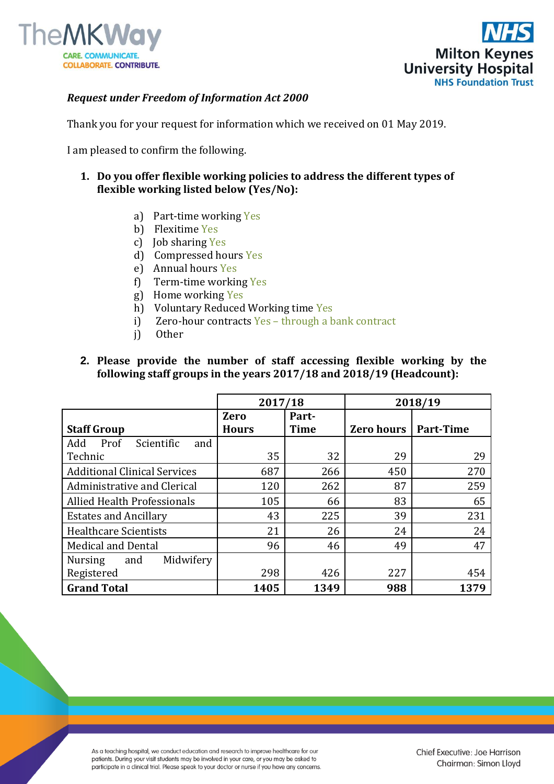



#### *Request under Freedom of Information Act 2000*

Thank you for your request for information which we received on 01 May 2019.

I am pleased to confirm the following.

- **1. Do you offer flexible working policies to address the different types of flexible working listed below (Yes/No):**
	- a) Part-time working Yes
	- b) Flexitime Yes
	- c) Job sharing Yes
	- d) Compressed hours Yes
	- e) Annual hours Yes
	- f) Term-time working Yes
	- g) Home working Yes
	- h) Voluntary Reduced Working time Yes
	- i) Zero-hour contracts Yes through a bank contract
	- j) Other

### **2. Please provide the number of staff accessing flexible working by the following staff groups in the years 2017/18 and 2018/19 (Headcount):**

|                                     | 2017/18      |             | 2018/19           |                  |
|-------------------------------------|--------------|-------------|-------------------|------------------|
|                                     | <b>Zero</b>  | Part-       |                   |                  |
| <b>Staff Group</b>                  | <b>Hours</b> | <b>Time</b> | <b>Zero hours</b> | <b>Part-Time</b> |
| Scientific<br>Add<br>Prof<br>and    |              |             |                   |                  |
| Technic                             | 35           | 32          | 29                | 29               |
| <b>Additional Clinical Services</b> | 687          | 266         | 450               | 270              |
| Administrative and Clerical         | 120          | 262         | 87                | 259              |
| <b>Allied Health Professionals</b>  | 105          | 66          | 83                | 65               |
| <b>Estates and Ancillary</b>        | 43           | 225         | 39                | 231              |
| <b>Healthcare Scientists</b>        | 21           | 26          | 24                | 24               |
| <b>Medical and Dental</b>           | 96           | 46          | 49                | 47               |
| Midwifery<br><b>Nursing</b><br>and  |              |             |                   |                  |
| Registered                          | 298          | 426         | 227               | 454              |
| <b>Grand Total</b>                  | 1405         | 1349        | 988               | 1379             |

As a teaching hospital, we conduct education and research to improve healthcare for our patients. During your visit students may be involved in your care, or you may be asked to participate in a clinical trial. Please speak to your doctor or nurse if you have any concerns.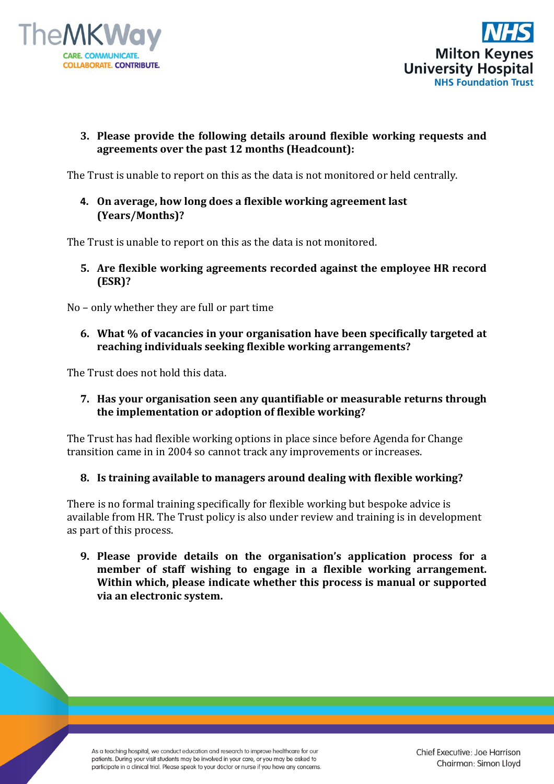



# **3. Please provide the following details around flexible working requests and agreements over the past 12 months (Headcount):**

The Trust is unable to report on this as the data is not monitored or held centrally.

## **4. On average, how long does a flexible working agreement last (Years/Months)?**

The Trust is unable to report on this as the data is not monitored.

**5. Are flexible working agreements recorded against the employee HR record (ESR)?** 

No – only whether they are full or part time

**6. What % of vacancies in your organisation have been specifically targeted at reaching individuals seeking flexible working arrangements?**

The Trust does not hold this data.

**7. Has your organisation seen any quantifiable or measurable returns through the implementation or adoption of flexible working?**

The Trust has had flexible working options in place since before Agenda for Change transition came in in 2004 so cannot track any improvements or increases.

### **8. Is training available to managers around dealing with flexible working?**

There is no formal training specifically for flexible working but bespoke advice is available from HR. The Trust policy is also under review and training is in development as part of this process.

**9. Please provide details on the organisation's application process for a member of staff wishing to engage in a flexible working arrangement. Within which, please indicate whether this process is manual or supported via an electronic system.**

As a teaching hospital, we conduct education and research to improve healthcare for our patients. During your visit students may be involved in your care, or you may be asked to participate in a clinical trial. Please speak to your doctor or nurse if you have any concerns. Chief Executive: Joe Harrison Chairman: Simon Lloyd